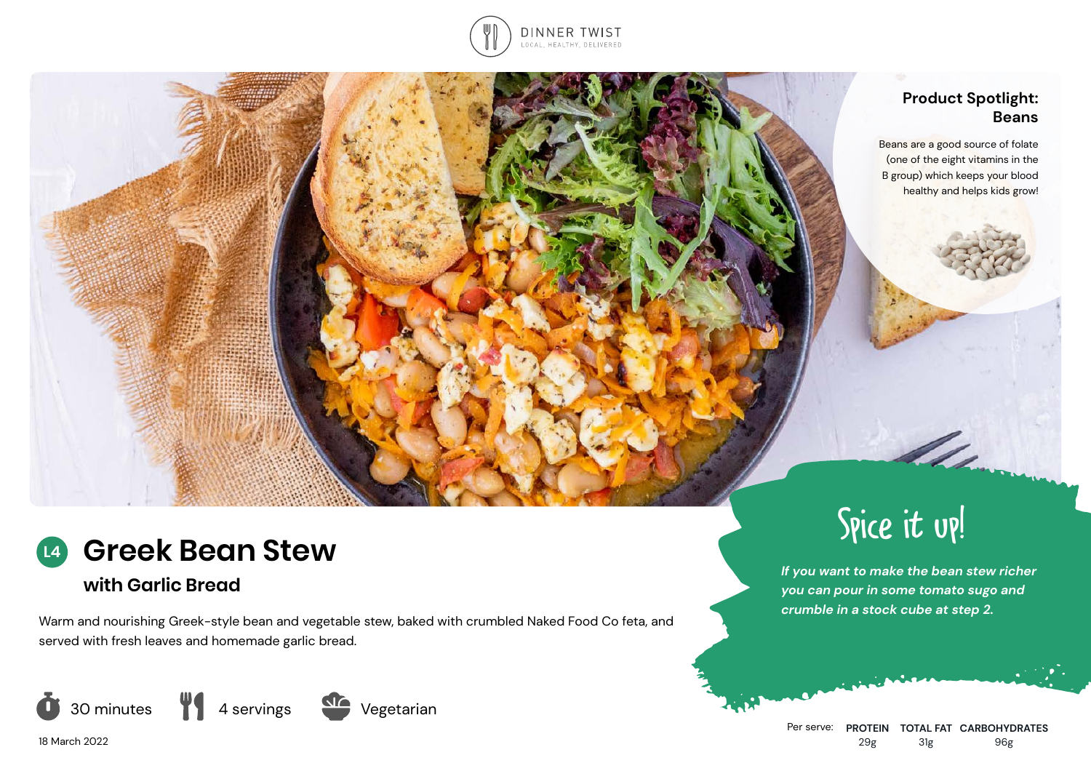

## **Product Spotlight: Beans**

Beans are a good source of folate (one of the eight vitamins in the B group) which keeps your blood healthy and helps kids grow!

Allenman



# **with Garlic Bread**

18 March 2022

Warm and nourishing Greek-style bean and vegetable stew, baked with crumbled Naked Food Co feta, and served with fresh leaves and homemade garlic bread.





*If you want to make the bean stew richer you can pour in some tomato sugo and crumble in a stock cube at step 2.*